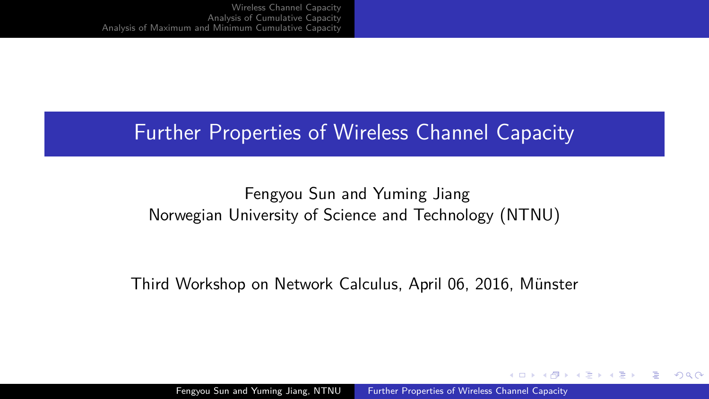#### <span id="page-0-0"></span>Further Properties of Wireless Channel Capacity

#### Fengyou Sun and Yuming Jiang Norwegian University of Science and Technology (NTNU)

Third Workshop on Network Calculus, April 06, 2016, Münster

Fengyou Sun and Yuming Jiang, NTNU [Further Properties of Wireless Channel Capacity](#page-21-0),

 $\left\{ \begin{array}{ccc} 1 & 0 & 0 \\ 0 & 1 & 0 \\ 0 & 0 & 0 \\ 0 & 0 & 0 \\ 0 & 0 & 0 \\ 0 & 0 & 0 \\ 0 & 0 & 0 \\ 0 & 0 & 0 \\ 0 & 0 & 0 \\ 0 & 0 & 0 \\ 0 & 0 & 0 \\ 0 & 0 & 0 \\ 0 & 0 & 0 \\ 0 & 0 & 0 \\ 0 & 0 & 0 & 0 \\ 0 & 0 & 0 & 0 \\ 0 & 0 & 0 & 0 \\ 0 & 0 & 0 & 0 & 0 \\ 0 & 0 & 0 & 0 & 0 \\ 0 & 0 & 0 & 0 & 0 \\ 0$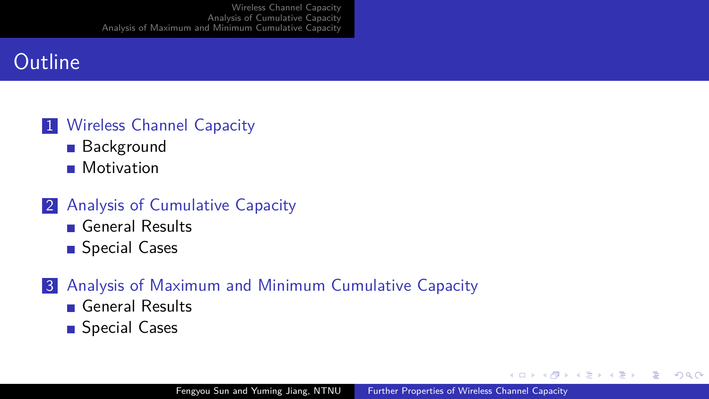### **Outline**

#### 1 [Wireless Channel Capacity](#page-2-0)

- **[Background](#page-2-0)**
- **[Motivation](#page-3-0)**
- 2 [Analysis of Cumulative Capacity](#page-6-0)
	- [General Results](#page-6-0)
	- [Special Cases](#page-9-0)

#### 3 [Analysis of Maximum and Minimum Cumulative Capacity](#page-12-0)

- [General Results](#page-12-0)
- [Special Cases](#page-15-0)

 $\left\{ \begin{array}{ccc} 1 & 0 & 0 \\ 0 & 1 & 0 \end{array} \right.$  ,  $\left\{ \begin{array}{ccc} \frac{1}{2} & 0 & 0 \\ 0 & 0 & 0 \end{array} \right.$ 

E.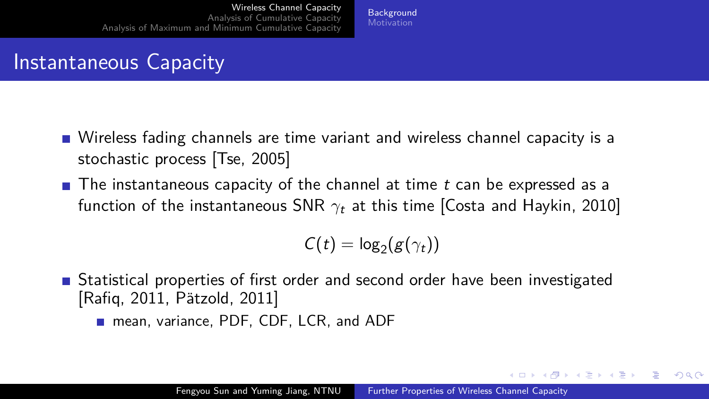#### **[Background](#page-2-0)** [Motivation](#page-3-0)

#### <span id="page-2-0"></span>Instantaneous Capacity

- Wireless fading channels are time variant and wireless channel capacity is a stochastic process [\[Tse, 2005\]](#page-21-1)
- **The instantaneous capacity of the channel at time t can be expressed as a** function of the instantaneous SNR *γ*<sup>t</sup> at this time [\[Costa and Haykin, 2010\]](#page-20-0)

$$
C(t) = \log_2(g(\gamma_t))
$$

- Statistical properties of first order and second order have been investigated  $[Rafiq, 2011, Pätzold, 2011]$  $[Rafiq, 2011, Pätzold, 2011]$ 
	- mean, variance, PDF, CDF, LCR, and ADF

イロト イ押 トイヨ トイヨト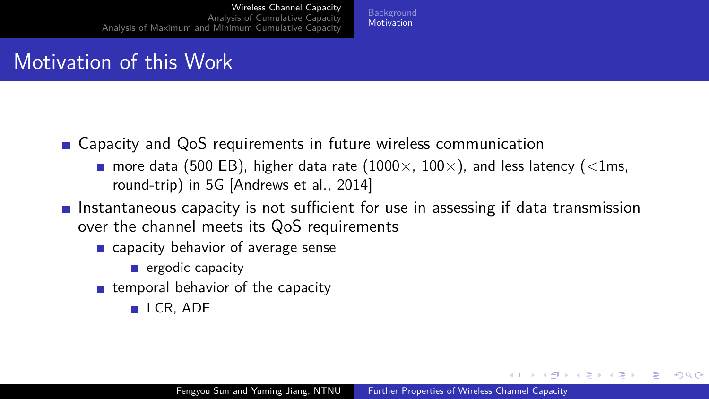**[Background](#page-2-0) [Motivation](#page-3-0)** 

### <span id="page-3-0"></span>Motivation of this Work

- Capacity and QoS requirements in future wireless communication
	- more data (500 EB), higher data rate (1000×, 100×), and less latency (*<*1ms, round-trip) in 5G [\[Andrews et al., 2014\]](#page-20-1)
- **Instantaneous capacity is not sufficient for use in assessing if data transmission** over the channel meets its QoS requirements
	- capacity behavior of average sense
		- $\blacksquare$  ergodic capacity
	- $\blacksquare$  temporal behavior of the capacity
		- LCR, ADF

 $QQ$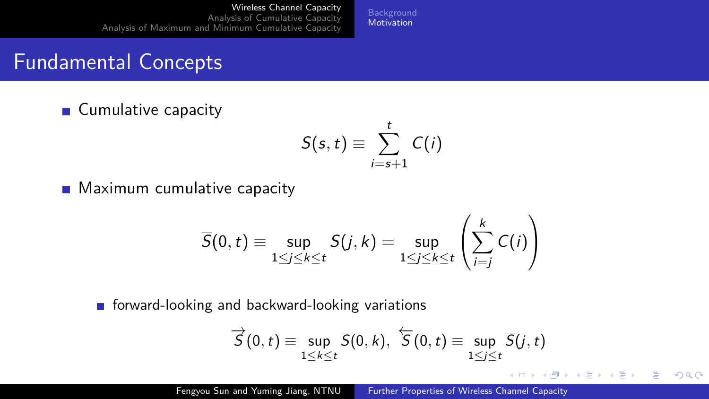**[Background](#page-2-0)** [Motivation](#page-3-0)

## Fundamental Concepts

■ Cumulative capacity

$$
S(s,t)\equiv \sum_{i=s+1}^t C(i)
$$

**Maximum cumulative capacity** 

$$
\overline{S}(0, t) \equiv \sup_{1 \leq j \leq k \leq t} S(j, k) = \sup_{1 \leq j \leq k \leq t} \left( \sum_{i=j}^{k} C(i) \right)
$$

 $\blacksquare$  forward-looking and backward-looking variations

$$
\overrightarrow{S}(0,t) \equiv \sup_{1 \leq k \leq t} \overline{S}(0,k), \ \overleftarrow{S}(0,t) \equiv \sup_{1 \leq j \leq t} \overline{S}(j,t)
$$

E.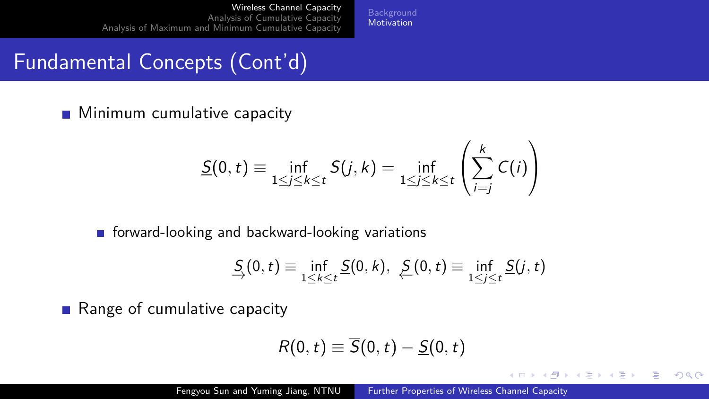**[Background](#page-2-0) [Motivation](#page-3-0)** 

# Fundamental Concepts (Cont'd)

**Minimum cumulative capacity** 

$$
\underline{S}(0,t) \equiv \inf_{1 \leq j \leq k \leq t} S(j,k) = \inf_{1 \leq j \leq k \leq t} \left( \sum_{i=j}^{k} C(i) \right)
$$

 $\blacksquare$  forward-looking and backward-looking variations

$$
\underline{S}_i(0,t) \equiv \inf_{1 \leq k \leq t} \underline{S}(0,k), \ \underline{S}(0,t) \equiv \inf_{1 \leq j \leq t} \underline{S}(j,t)
$$

■ Range of cumulative capacity

$$
R(0,t)\equiv \overline{S}(0,t)-\underline{S}(0,t)
$$

Þ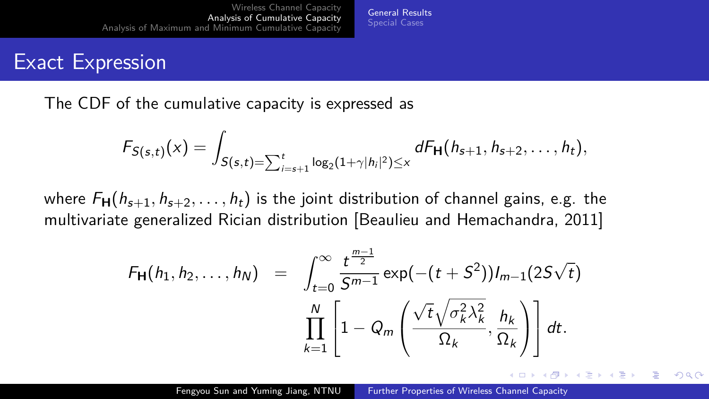#### <span id="page-6-0"></span>Exact Expression

The CDF of the cumulative capacity is expressed as

$$
F_{S(s,t)}(x) = \int_{S(s,t)=\sum_{i=s+1}^t \log_2(1+\gamma|h_i|^2) \leq x} dF_{\mathbf{H}}(h_{s+1}, h_{s+2}, \ldots, h_t),
$$

[General Results](#page-6-0) [Special Cases](#page-9-0)

where  $F_H(h_{s+1}, h_{s+2}, \ldots, h_t)$  is the joint distribution of channel gains, e.g. the multivariate generalized Rician distribution [\[Beaulieu and Hemachandra, 2011\]](#page-20-2)

$$
F_{\mathbf{H}}(h_1, h_2, \ldots, h_N) = \int_{t=0}^{\infty} \frac{t^{\frac{m-1}{2}}}{S^{m-1}} \exp(-(t+S^2)) I_{m-1}(2S\sqrt{t})
$$

$$
\prod_{k=1}^{N} \left[1 - Q_m \left(\frac{\sqrt{t}\sqrt{\sigma_k^2 \lambda_k^2}}{\Omega_k}, \frac{h_k}{\Omega_k}\right)\right] dt.
$$

Fengyou Sun and Yuming Jiang, NTNU [Further Properties of Wireless Channel Capacity](#page-0-0)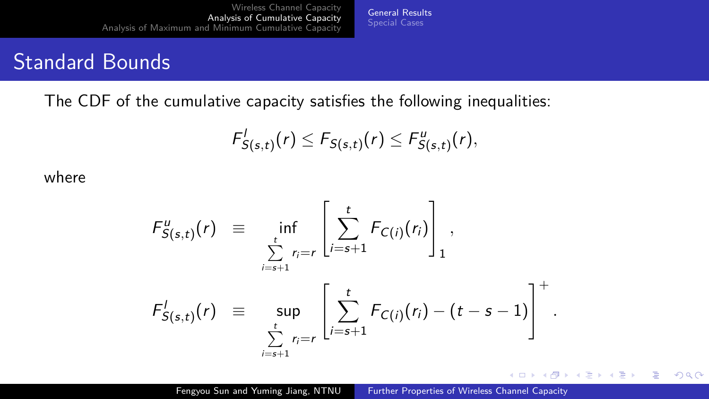#### Standard Bounds

The CDF of the cumulative capacity satisfies the following inequalities:

$$
F_{S(s,t)}^l(r) \leq F_{S(s,t)}(r) \leq F_{S(s,t)}^u(r),
$$

[General Results](#page-6-0) [Special Cases](#page-9-0)

where

$$
F_{S(s,t)}^{u}(r) = \inf_{\sum_{i=s+1}^{t} r_{i}=r} \left[ \sum_{i=s+1}^{t} F_{C(i)}(r_{i}) \right]_{1},
$$
  

$$
F_{S(s,t)}^{l}(r) = \sup_{\sum_{i=s+1}^{t} r_{i}=r} \left[ \sum_{i=s+1}^{t} F_{C(i)}(r_{i}) - (t-s-1) \right]^{+}.
$$

 $\mathbf{A} \equiv \mathbf{A} + \mathbf{A} \pmod{2} \mathbf{A} + \mathbf{A} \equiv \mathbf{A} + \mathbf{A} \equiv \mathbf{A} + \mathbf{A}$ 

(B)  $2990$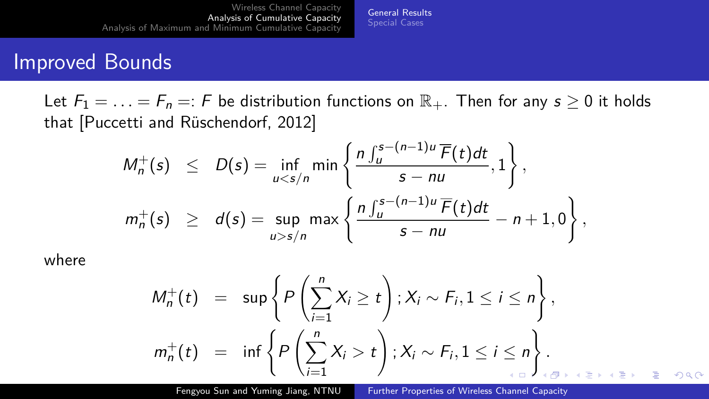#### Improved Bounds

Let  $F_1 = \ldots = F_n =: F$  be distribution functions on  $\mathbb{R}_+$ . Then for any  $s \geq 0$  it holds that [Puccetti and Rüschendorf, 2012]

[General Results](#page-6-0) [Special Cases](#page-9-0)

$$
M_n^+(s) \leq D(s) = \inf_{u < s/n} \min \left\{ \frac{n \int_u^{s-(n-1)u} \overline{F}(t) dt}{s - nu}, 1 \right\},
$$
\n
$$
m_n^+(s) \geq d(s) = \sup_{u > s/n} \max \left\{ \frac{n \int_u^{s-(n-1)u} \overline{F}(t) dt}{s - nu} - n + 1, 0 \right\},
$$

where

$$
M_n^+(t) = \sup \left\{ P\left(\sum_{i=1}^n X_i \ge t\right) ; X_i \sim F_i, 1 \le i \le n \right\},
$$
  

$$
m_n^+(t) = \inf \left\{ P\left(\sum_{i=1}^n X_i > t\right) ; X_i \sim F_i, 1 \le i \le n \right\}.
$$

Fengyou Sun and Yuming Jiang, NTNU [Further Properties of Wireless Channel Capacity](#page-0-0)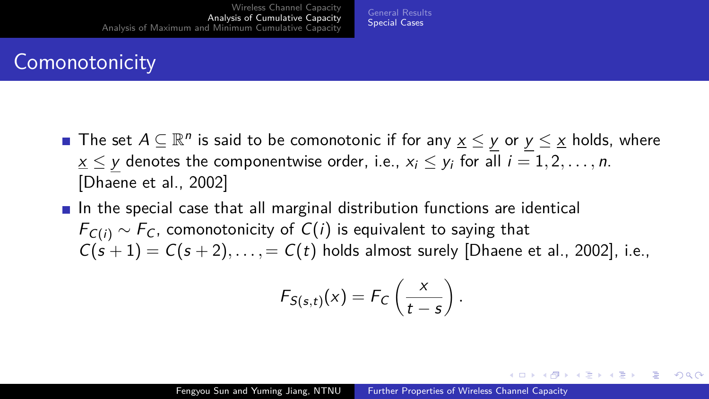#### [General Results](#page-6-0) [Special Cases](#page-9-0)

# <span id="page-9-0"></span>**Comonotonicity**

- The set  $A \subseteq \mathbb{R}^n$  is said to be comonotonic if for any  $\underline{x} \leq y$  or  $y \leq \underline{x}$  holds, where  $x \leq y$  denotes the componentwise order, i.e.,  $x_i \leq y_i$  for all  $i = 1, 2, \ldots, n$ . [\[Dhaene et al., 2002\]](#page-21-5)
- In the special case that all marginal distribution functions are identical  $F_{C(i)} \sim F_C$ , comonotonicity of  $C(i)$  is equivalent to saying that  $C(s + 1) = C(s + 2), \ldots, = C(t)$  holds almost surely [\[Dhaene et al., 2002\]](#page-21-5), i.e.,

$$
F_{S(s,t)}(x) = F_C\left(\frac{x}{t-s}\right).
$$

 $\mathbf{A} \equiv \mathbf{A} + \mathbf{A} \pmod{2} \mathbf{A} + \mathbf{A} \equiv \mathbf{A} + \mathbf{A} \equiv \mathbf{A} + \mathbf{A}$ 

E.  $QQ$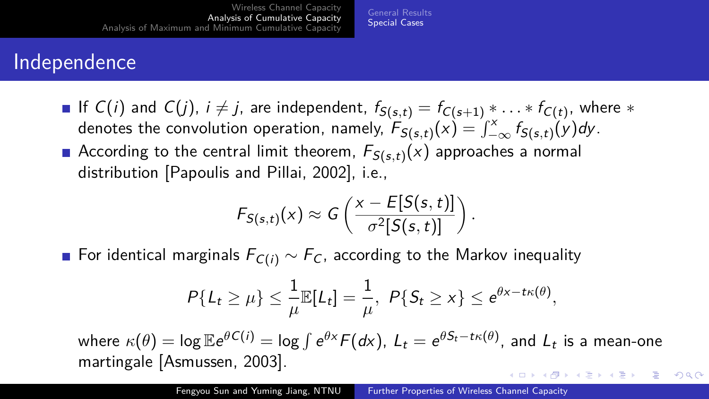#### Independence

If  $C(i)$  and  $C(j)$ ,  $i \neq j$ , are independent,  $f_{\mathcal{S} (s,t)} = f_{C(s+1)} * \ldots * f_{C(t)},$  where  $*$ denotes the convolution operation, namely,  $\overline{F}_{S(s,t)}(x) = \int_{-\infty}^x f_{S(s,t)}(y) dy$ . According to the central limit theorem,  $\mathcal{F}_{\mathcal{S}(s,t)}(x)$  approaches a normal distribution [\[Papoulis and Pillai, 2002\]](#page-21-6), i.e.,

[General Results](#page-6-0) [Special Cases](#page-9-0)

$$
F_{S(s,t)}(x) \approx G\left(\frac{x - E[S(s,t)]}{\sigma^2[S(s,t)]}\right).
$$

■ For identical marginals  $F_{C(i)} \sim F_C$ , according to the Markov inequality

$$
P\{L_t \geq \mu\} \leq \frac{1}{\mu} \mathbb{E}[L_t] = \frac{1}{\mu}, \ P\{S_t \geq x\} \leq e^{\theta x - t\kappa(\theta)},
$$

 $\kappa(\theta)=\log \mathbb{E}e^{\theta C(i)}=\log \int e^{\theta x}F(d\mathrm{x}),\; L_t=e^{\theta S_t-t\kappa(\theta)},$  and  $L_t$  is a mean-one martingale [\[Asmussen, 2003\]](#page-20-3).  $\mathbf{E} = \mathbf{A} \oplus \mathbf{B} + \mathbf{A} \oplus \mathbf{B} + \mathbf{A} \oplus \mathbf{B} + \mathbf{A} \oplus \mathbf{A}$ 

 $QQ$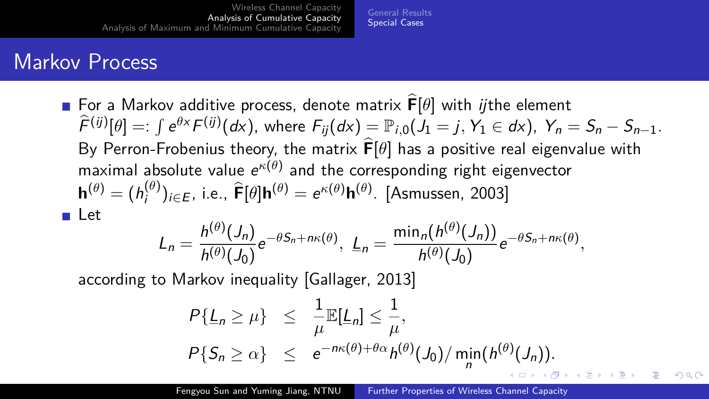[General Results](#page-6-0) [Special Cases](#page-9-0)

#### <span id="page-11-0"></span>Markov Process

**■ For a Markov additive process, denote matrix**  $\hat{\mathbf{F}}[\theta]$  **with** *ij***the element**  $\widehat{f}^{(ij)}[\theta]=:\int e^{\theta x}F^{(ij)}(dx),$  where  $F_{ij}(dx)=\mathbb{P}_{i,0}(J_1=j,\,Y_1\in dx),\;Y_n=S_n-S_{n-1}.$ By Perron-Frobenius theory, the matrix  $\hat{F}[\theta]$  has a positive real eigenvalue with maximal absolute value  $e^{\kappa(\theta)}$  and the corresponding right eigenvector  $\mathbf{h}^{(\theta)} = (h_i^{(\theta)})$  $\hat{\mathbf{f}}_{i}^{(\theta)}$ )<sub>*i*∈E</sub>, i.e.,  $\hat{\mathbf{F}}[\theta] \mathbf{h}^{(\theta)} = e^{\kappa(\theta)} \mathbf{h}^{(\theta)}$ . [\[Asmussen, 2003\]](#page-20-3) Let

$$
L_n=\frac{h^{(\theta)}(J_n)}{h^{(\theta)}(J_0)}e^{-\theta S_n+n\kappa(\theta)}, \ L_n=\frac{\min_n(h^{(\theta)}(J_n))}{h^{(\theta)}(J_0)}e^{-\theta S_n+n\kappa(\theta)},
$$

according to Markov inequality [\[Gallager, 2013\]](#page-21-7)

$$
P\{\underline{L}_n \ge \mu\} \le \frac{1}{\mu} \mathbb{E}[\underline{L}_n] \le \frac{1}{\mu},
$$
  
\n
$$
P\{S_n \ge \alpha\} \le e^{-n\kappa(\theta) + \theta\alpha} h^{(\theta)}(J_0) / \min_n(h^{(\theta)}(J_n)).
$$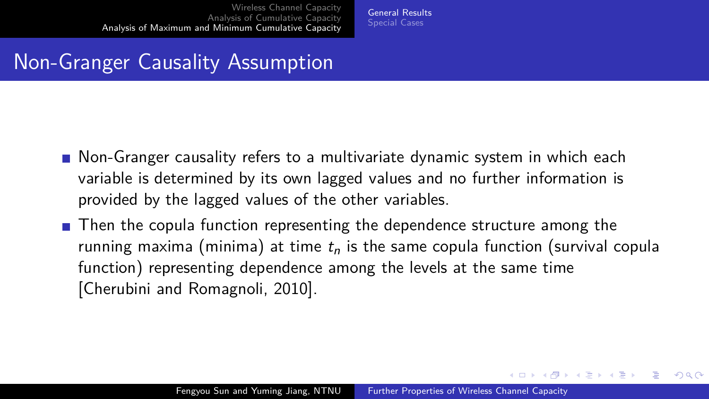[General Results](#page-12-0) [Special Cases](#page-15-0)

#### <span id="page-12-0"></span>Non-Granger Causality Assumption

- **Non-Granger causality refers to a multivariate dynamic system in which each** variable is determined by its own lagged values and no further information is provided by the lagged values of the other variables.
- $\blacksquare$  Then the copula function representing the dependence structure among the running maxima (minima) at time  $t_n$  is the same copula function (survival copula function) representing dependence among the levels at the same time [\[Cherubini and Romagnoli, 2010\]](#page-20-4).

 $\mathbf{E} = \mathbf{A} \oplus \mathbf{B} + \mathbf{A} \oplus \mathbf{B} + \mathbf{A} \oplus \mathbf{B} + \mathbf{A} \oplus \mathbf{A}$ 

 $QQ$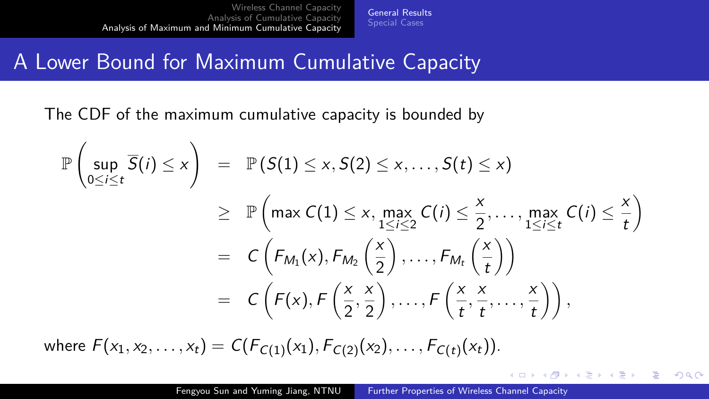[General Results](#page-12-0) [Special Cases](#page-15-0)

#### A Lower Bound for Maximum Cumulative Capacity

The CDF of the maximum cumulative capacity is bounded by

$$
\mathbb{P}\left(\sup_{0\leq i\leq t} \overline{S}(i) \leq x\right) = \mathbb{P}\left(S(1) \leq x, S(2) \leq x, \ldots, S(t) \leq x\right)
$$
\n
$$
\geq \mathbb{P}\left(\max C(1) \leq x, \max_{1\leq i\leq 2} C(i) \leq \frac{x}{2}, \ldots, \max_{1\leq i\leq t} C(i) \leq \frac{x}{t}\right)
$$
\n
$$
= C\left(F_{M_1}(x), F_{M_2}\left(\frac{x}{2}\right), \ldots, F_{M_t}\left(\frac{x}{t}\right)\right)
$$
\n
$$
= C\left(F(x), F\left(\frac{x}{2}, \frac{x}{2}\right), \ldots, F\left(\frac{x}{t}, \frac{x}{t}, \ldots, \frac{x}{t}\right)\right),
$$

where  $F(x_1, x_2, \ldots, x_t) = C(F_{C(1)}(x_1), F_{C(2)}(x_2), \ldots, F_{C(t)}(x_t)).$ 

 $4$  ロ )  $4$   $\overline{r}$  )  $4$   $\overline{z}$  )  $4$   $\overline{z}$  )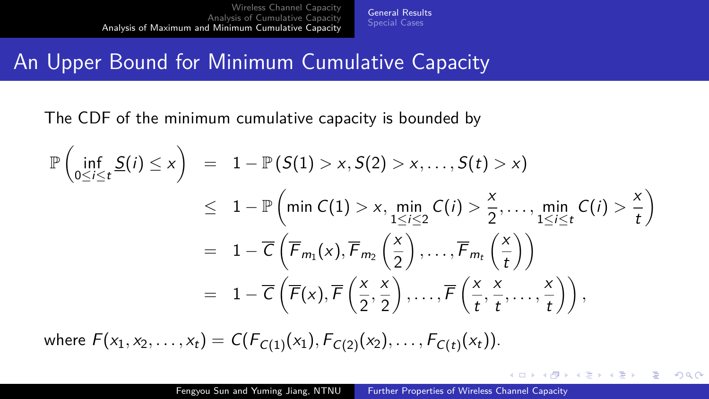[General Results](#page-12-0) [Special Cases](#page-15-0)

#### <span id="page-14-0"></span>An Upper Bound for Minimum Cumulative Capacity

The CDF of the minimum cumulative capacity is bounded by

$$
\mathbb{P}\left(\inf_{0\leq i\leq t}\underline{S}(i)\leq x\right) = 1 - \mathbb{P}\left(\underline{S}(1) > x,\, S(2) > x,\ldots,\, S(t) > x\right) \\
\leq 1 - \mathbb{P}\left(\min C(1) > x,\, \min_{1\leq i\leq 2} C(i) > \frac{x}{2},\ldots,\, \min_{1\leq i\leq t} C(i) > \frac{x}{t}\right) \\
= 1 - \overline{C}\left(\overline{F}_{m_1}(x),\overline{F}_{m_2}\left(\frac{x}{2}\right),\ldots,\overline{F}_{m_t}\left(\frac{x}{t}\right)\right) \\
= 1 - \overline{C}\left(\overline{F}(x),\overline{F}\left(\frac{x}{2},\frac{x}{2}\right),\ldots,\overline{F}\left(\frac{x}{t},\frac{x}{t},\ldots,\frac{x}{t}\right)\right),
$$

where  $F(x_1, x_2, \ldots, x_t) = C(F_{C(1)}(x_1), F_{C(2)}(x_2), \ldots, F_{C(t)}(x_t)).$ 

÷.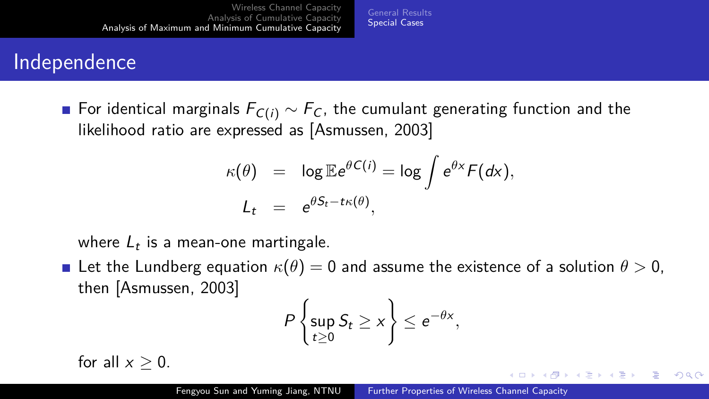[General Results](#page-12-0) [Special Cases](#page-15-0)

#### <span id="page-15-0"></span>Independence

**■** For identical marginals  $F_{C(i)} \sim F_C$ , the cumulant generating function and the likelihood ratio are expressed as [\[Asmussen, 2003\]](#page-20-3)

$$
\kappa(\theta) = \log \mathbb{E} e^{\theta C(i)} = \log \int e^{\theta x} F(dx),
$$
  

$$
L_t = e^{\theta S_t - t\kappa(\theta)},
$$

where  $L_t$  is a mean-one martingale.

Let the Lundberg equation  $\kappa(\theta) = 0$  and assume the existence of a solution  $\theta > 0$ , then [\[Asmussen, 2003\]](#page-20-3)

$$
P\left\{\sup_{t\geq 0} S_t \geq x\right\} \leq e^{-\theta x},
$$

for all  $x > 0$ .

Þ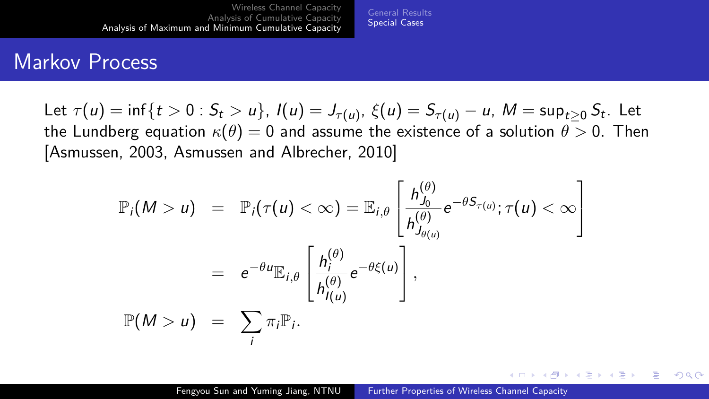[General Results](#page-12-0) [Special Cases](#page-15-0)

#### <span id="page-16-0"></span>Markov Process

Let  $\tau(u) = \inf\{t > 0: S_t > u\},\ I(u) = J_{\tau(u)},\ \xi(u) = S_{\tau(u)} - u,\ M = \sup_{t \geq 0} S_t.$  Let the Lundberg equation  $\kappa(\theta) = 0$  and assume the existence of a solution  $\theta > 0$ . Then [\[Asmussen, 2003,](#page-20-3) [Asmussen and Albrecher, 2010\]](#page-20-5)

$$
\mathbb{P}_{i}(M > u) = \mathbb{P}_{i}(\tau(u) < \infty) = \mathbb{E}_{i,\theta} \left[ \frac{h_{J_{0}}^{(\theta)}}{h_{J_{\theta(u)}}^{(\theta)}} e^{-\theta S_{\tau(u)}}; \tau(u) < \infty \right]
$$

$$
= e^{-\theta u} \mathbb{E}_{i,\theta} \left[ \frac{h_{i}^{(\theta)}}{h_{I(u)}^{(\theta)}} e^{-\theta \xi(u)} \right],
$$

$$
\mathbb{P}(M > u) = \sum_{i} \pi_{i} \mathbb{P}_{i}.
$$

イロト イ押 トイヨ トイヨ トー

 $2990$ 

Ξ.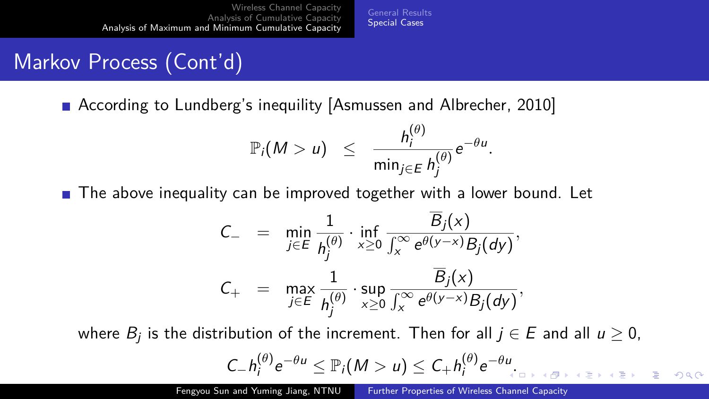[General Results](#page-12-0) [Special Cases](#page-15-0)

## <span id="page-17-0"></span>Markov Process (Cont'd)

■ According to Lundberg's inequility [\[Asmussen and Albrecher, 2010\]](#page-20-5)

$$
\mathbb{P}_i(M>u) \leq \frac{h_i^{(\theta)}}{\min_{j\in E}h_j^{(\theta)}}e^{-\theta u}.
$$

**The above inequality can be improved together with a lower bound. Let** 

$$
C_{-} = \min_{j \in E} \frac{1}{h_j^{(\theta)}} \cdot \inf_{x \geq 0} \frac{\overline{B}_j(x)}{\int_x^{\infty} e^{\theta(y-x)} B_j(dy)},
$$
  

$$
C_{+} = \max_{j \in E} \frac{1}{h_j^{(\theta)}} \cdot \sup_{x \geq 0} \frac{\overline{B}_j(x)}{\int_x^{\infty} e^{\theta(y-x)} B_j(dy)},
$$

where  $B_j$  is the distribution of the increment. Then for all  $j\in E$  and all  $u\geq 0,$  $C_{-}h_i^{(\theta)}$  $\int_{i}^{(\theta)} e^{-\theta u} \leq \mathbb{P}_i(M>u) \leq C_+ h_i^{(\theta)}$  $e^{-\theta u}$ [.](#page-16-0)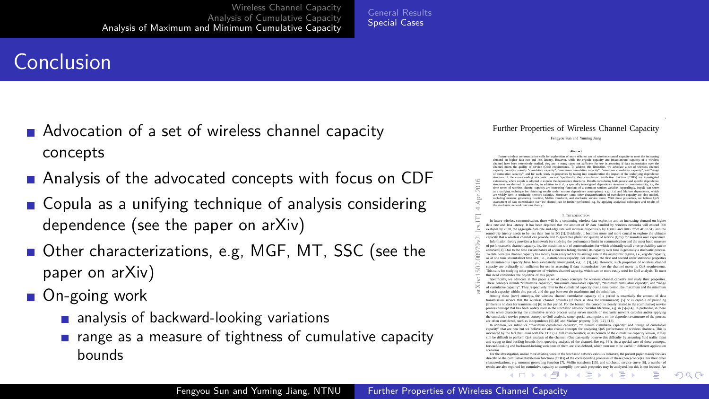#### <span id="page-18-0"></span>Conclusion

- Advocation of a set of wireless channel capacity concepts
- **Analysis of the advocated concepts with focus on CDF**
- Copula as a unifying technique of analysis considering dependence (see the paper on arXiv)
- Other characterizations, e.g, MGF, MT, SSC (see the paper on arXiv)
- On-going work
	- **a** analysis of backward-looking variations
	- $\blacksquare$  range as a measure of tightness of cumulative capacity bounds

#### Further Properties of Wireless Channel Capacity

Fengyou Sun and Yuming Jiang

**Abstract**<br>Future visibles: communication calls for exploration of more efficient use of windows channel canacity to most the incre Patane wasness communication cats for exposition of more efficient use of wasness channel capacity to meet the increasing<br>demand on higher data rate and less latency. However, while the ergodic capacity and instantaneous c comment on regent extensively studied, they are in many cases not sufficient for use in assessing if data transmission over the<br>channel inners the causer of survice (OoS) monitoments. To address this limitation, we advocat channel meets the quality of service (QSS) requirements. It address the initiation, we advocate a set of winness channel<br>capacity concepts, namely "cumulative capacity", "maximum cumulative capacity", "minimum cumulative c ot comments capacity, and for each, shalp its properties by taxing anto consideration the impact of the undertying dependence<br>structure of the corresponding stochastic process. Specifically, their cumulative distribution f emmérely, where copula is adopted to express the dependence stractures. Results considering both genetic and specific dependence<br>structures are derived. In particular, in addition to i.i.d., a specially investigated depend time series of wireless channel capacity are increasing functions of a common random variable. Appealingly, copula can serve as a unifying technique for obtaining media under various dependence assumptions, e.g. i.i.d. and Markov dependence, which are widely seen in stochastic network calculus. Moreover, some other characterizations of cumulative capacity are also studied, including capacity are also studied, and the control of the control of the control of the cont metading moment generating function, Metho Statement, and stochastic service curve. With these properties, we beneve Qub<br>assessment of data transmission over the channel can be further performed, e.g. by applying analytica the stochastic of data transmission over 1

#### I. INTRODUCTION

| arXiv:1502.00979v2 [cs.IT] 4 Apr 2016 | extensively, where consis is adopted to express the dependence stractures. Results considering both ceneric and specific dependence<br>eructures are derived. In particular, in addition to 11.4, a specially investigated dependence structure is composteristics i.e. the<br>time series of winners channel capacity are increasing functions of a common random variable. Appealingly, coords can serve<br>as a unifying technique for obtaining meals under various dependence assumptions, e.g. i.i.d. and Markov dependence, which<br>an widely sum in stochastic network calculus. Monover, some other characterizations of cumulative canacter are also studied.<br>including moment equenties function. Mellin transform, and mechanic service curve. With these properties, we believe Out-<br>assessment of data transmission over the channel can be further performed, e.g. by applying analytical techniques and results of<br>the stochastic network calculus theory. |  |
|---------------------------------------|--------------------------------------------------------------------------------------------------------------------------------------------------------------------------------------------------------------------------------------------------------------------------------------------------------------------------------------------------------------------------------------------------------------------------------------------------------------------------------------------------------------------------------------------------------------------------------------------------------------------------------------------------------------------------------------------------------------------------------------------------------------------------------------------------------------------------------------------------------------------------------------------------------------------------------------------------------------------------------------|--|
|                                       | <b>I.</b> INTRODUCTION                                                                                                                                                                                                                                                                                                                                                                                                                                                                                                                                                                                                                                                                                                                                                                                                                                                                                                                                                               |  |
|                                       | In future wireless communication, there will be a continuing wireless data explosion and an increasing demand on higher<br>data rate and less latency. It has been depicted that the amount of IP data handled by wireless networks will exceed 500<br>exabytes by 2020, the aggregate data rate and edge rate will increase respectively by 1000× and 100× from 4G to 5G, and the<br>round-trip latency needs to be less than 1ms in 5G 111. Evidently, it becomes more and more crucial to explore the altimate<br>capacity that a wiseless channel can provide and to examine pluralistic quality of service (OoS) for searsiers user experience.                                                                                                                                                                                                                                                                                                                                 |  |
|                                       | Information theory provides a framework for studying the performance limits in communication and the most basic measure<br>of performance is channel canacity, i.e., the maximum rate of communication for which arbitrarily small error probability can be<br>achieved [2]. Due to the time variant nature of a wireless fading channel, its capacity over time is generally a stochastic process.<br>To date, window channel capacity has mostly been analyzed for its average rate in the asymptotic regime, i.e., ergodic capacity.<br>or at one time instant/doct time slot. i.e., instantaneous capacity. For instance, the first and second order statistical properties<br>of instantaneous canacity have been extensively investigated, e.g. in 131. [4]. However, such recognize of wireless channel<br>capacity are ordinarily not sufficient for use in assessing if data transmission over the channel mosts its OoS requirements.                                      |  |
|                                       | This calls for studying other recognize of wireless channel canacity, which can be more easily used for OoS analysis. To meet<br>this need constitutes the objective of this paper.                                                                                                                                                                                                                                                                                                                                                                                                                                                                                                                                                                                                                                                                                                                                                                                                  |  |
|                                       | Specifically, we advocate in this paper a set of (new) concepts for winders channel capacity and study their properties.<br>These concepts include "cumulative canacity". "maximum cumulative canacity". "minimum cumulative canacity", and "range<br>of cumulative canacity". They respectively refer to the cumulated canacity over a time period, the maximum and the minimum<br>of such capacity within this period, and the sup between the maximum and the minimum.<br>Among these (new) concepts, the wireless channel cumulative canacity of a period is covertially the amount of data                                                                                                                                                                                                                                                                                                                                                                                      |  |
|                                       | transmission service that the wiseless channel provides (if there is data for transmission) [5] or is canable of providing<br>(if there is no data for transmission) 161 in this period. For the former, the concept is closely related to the (cumulative) service                                                                                                                                                                                                                                                                                                                                                                                                                                                                                                                                                                                                                                                                                                                  |  |
|                                       | process concept that has been widely used in the stochastic network calculus literature, e.g. in 151-1141. In meticular, in these<br>works when characterine the cannalative service process using server models of stochastic network calculus and/or applying<br>the cumulative service process concept to OoS analysis, some special assumptions on the dependence structure of the process.<br>are often considered, such as independence [61-18] and Markov presenty [10], [12], [13],                                                                                                                                                                                                                                                                                                                                                                                                                                                                                          |  |
|                                       | In addition, we introduce "maximum cumulative capacity", "minimum cumulative capacity" and "range of cumulative<br>capacity" that are new but we believe are also cracial concepts for analyzing OoS performance of windows channels. This is<br>motivated by the fact that, even with the CDF (i.e. fall characteristics) or its bounds of the cumulative canacity known, it may<br>still be difficult to perform OoS analysis of the channel. (One can easily observe this difficulty by assuming fluid traffic input                                                                                                                                                                                                                                                                                                                                                                                                                                                              |  |
|                                       | and trying to find backlog bounds from queueing analysis of the channel. See e.g. 161). As a special case of those concepts,<br>forward-looking and backward-looking variations of them are also defined, which turn out to be useful in different application                                                                                                                                                                                                                                                                                                                                                                                                                                                                                                                                                                                                                                                                                                                       |  |

scenarios. For the investigation, unlike most existing work in the stochastic network calculus literature, the present paper mainly focuses directly on the cumulative distribution functions (CDFs) of the corresponding processes of these (new) concepts. For their other characterizations, e.g. moment generating function [7]. Mellin transform [15], and stochastic service curve [6], a number of results are al[so reporte](#page-17-0)d for [cumulati](#page-19-0)[ve cap](#page-17-0)[acity to exe](#page-18-0)[mplify](#page-19-0) [how s](#page-14-0)[uch p](#page-15-0)[roperties m](#page-21-0)[ay be a](#page-11-0)[nalyz](#page-12-0)[ed, but this](#page-21-0) [is not foc](#page-0-0)[used. An](#page-21-0)

14 B K 4 B

 $200$ 

 $\leftarrow$   $\Box$   $\rightarrow$   $\leftarrow$   $\Box$   $\rightarrow$ 

[General Results](#page-12-0) [Special Cases](#page-15-0)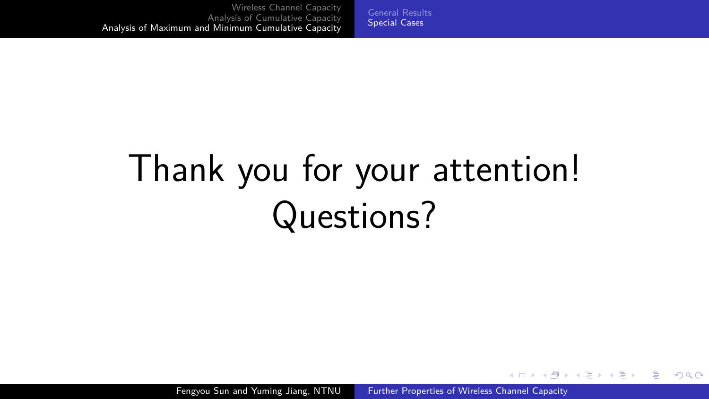# <span id="page-19-0"></span>Thank you for your attention! Questions?

Fengyou Sun and Yuming Jiang, NTNU [Further Properties of Wireless Channel Capacity](#page-0-0)

E.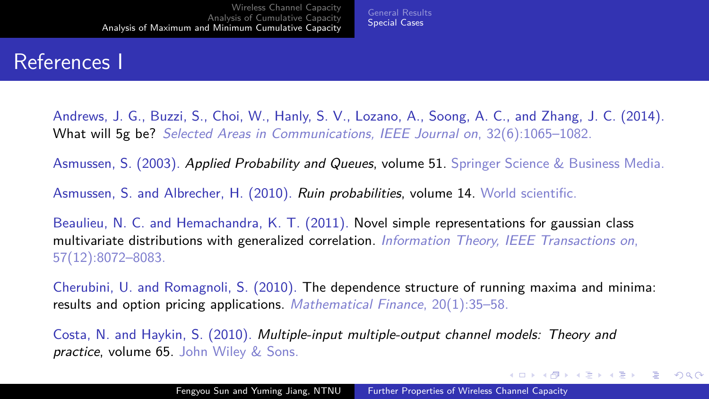#### References I

<span id="page-20-1"></span>Andrews, J. G., Buzzi, S., Choi, W., Hanly, S. V., Lozano, A., Soong, A. C., and Zhang, J. C. (2014). What will 5g be? Selected Areas in Communications, IEEE Journal on, 32(6):1065–1082.

[General Results](#page-12-0) [Special Cases](#page-15-0)

<span id="page-20-3"></span>Asmussen, S. (2003). Applied Probability and Queues, volume 51. Springer Science & Business Media.

<span id="page-20-5"></span>Asmussen, S. and Albrecher, H. (2010). Ruin probabilities, volume 14. World scientific.

<span id="page-20-2"></span>Beaulieu, N. C. and Hemachandra, K. T. (2011). Novel simple representations for gaussian class multivariate distributions with generalized correlation. *Information Theory, IEEE Transactions on*, 57(12):8072–8083.

<span id="page-20-4"></span>Cherubini, U. and Romagnoli, S. (2010). The dependence structure of running maxima and minima: results and option pricing applications. Mathematical Finance, 20(1):35-58.

<span id="page-20-0"></span>Costa, N. and Haykin, S. (2010). Multiple-input multiple-output channel models: Theory and practice, volume 65. John Wiley & Sons.

 $\mathbf{E} = \mathbf{A} \in \mathbf{E} \times \mathbf{A} \in \mathbf{B} \times \mathbf{A} \oplus \mathbf{B} \times \mathbf{A} \oplus \mathbf{A}$ 

 $QQ$